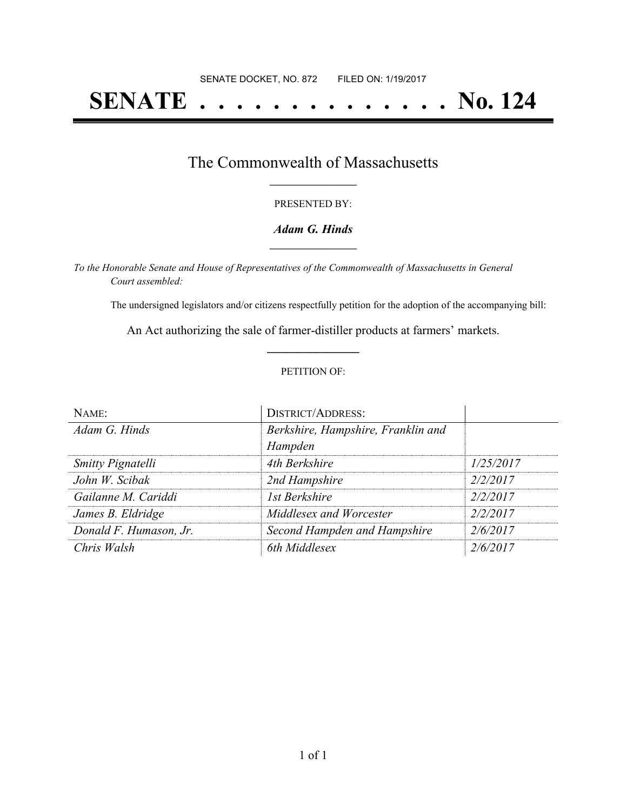# **SENATE . . . . . . . . . . . . . . No. 124**

## The Commonwealth of Massachusetts **\_\_\_\_\_\_\_\_\_\_\_\_\_\_\_\_\_**

#### PRESENTED BY:

#### *Adam G. Hinds* **\_\_\_\_\_\_\_\_\_\_\_\_\_\_\_\_\_**

*To the Honorable Senate and House of Representatives of the Commonwealth of Massachusetts in General Court assembled:*

The undersigned legislators and/or citizens respectfully petition for the adoption of the accompanying bill:

An Act authorizing the sale of farmer-distiller products at farmers' markets. **\_\_\_\_\_\_\_\_\_\_\_\_\_\_\_**

#### PETITION OF:

| NAME:                    | <b>DISTRICT/ADDRESS:</b>           |           |
|--------------------------|------------------------------------|-----------|
| Adam G. Hinds            | Berkshire, Hampshire, Franklin and |           |
|                          | Hampden                            |           |
| <b>Smitty Pignatelli</b> | 4th Berkshire                      | 1/25/2017 |
| John W. Scibak           | 2nd Hampshire                      | 2/2/2017  |
| Gailanne M. Cariddi      | 1st Berkshire                      | 2/2/2017  |
| James B. Eldridge        | Middlesex and Worcester            | 2/2/2017  |
| Donald F. Humason, Jr.   | Second Hampden and Hampshire       | 2/6/2017  |
| Chris Walsh              | 6th Middlesex                      | 2/6/2017  |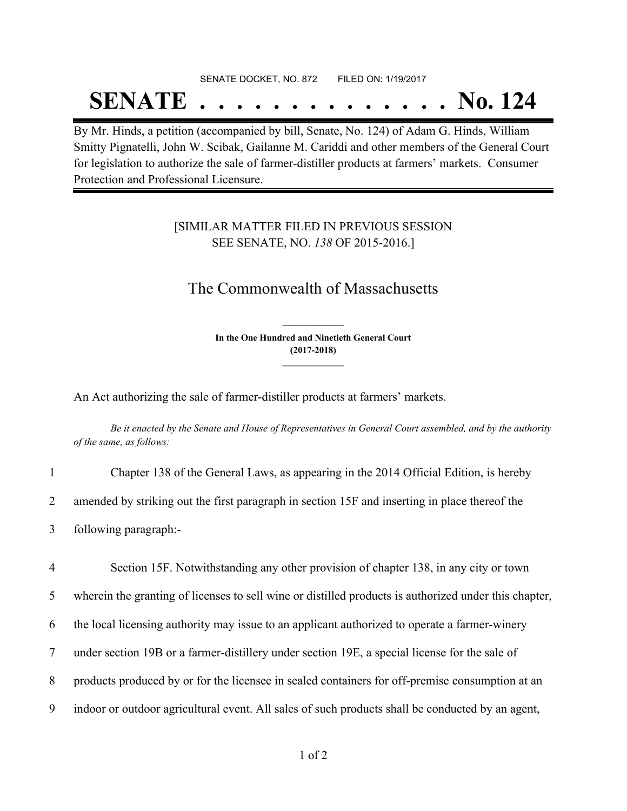# SENATE DOCKET, NO. 872 FILED ON: 1/19/2017 **SENATE . . . . . . . . . . . . . . No. 124**

By Mr. Hinds, a petition (accompanied by bill, Senate, No. 124) of Adam G. Hinds, William Smitty Pignatelli, John W. Scibak, Gailanne M. Cariddi and other members of the General Court for legislation to authorize the sale of farmer-distiller products at farmers' markets. Consumer Protection and Professional Licensure.

### [SIMILAR MATTER FILED IN PREVIOUS SESSION SEE SENATE, NO. *138* OF 2015-2016.]

# The Commonwealth of Massachusetts

**In the One Hundred and Ninetieth General Court (2017-2018) \_\_\_\_\_\_\_\_\_\_\_\_\_\_\_**

**\_\_\_\_\_\_\_\_\_\_\_\_\_\_\_**

An Act authorizing the sale of farmer-distiller products at farmers' markets.

Be it enacted by the Senate and House of Representatives in General Court assembled, and by the authority *of the same, as follows:*

| Chapter 138 of the General Laws, as appearing in the 2014 Official Edition, is hereby         |
|-----------------------------------------------------------------------------------------------|
| amended by striking out the first paragraph in section 15F and inserting in place thereof the |
| following paragraph:-                                                                         |

 Section 15F. Notwithstanding any other provision of chapter 138, in any city or town wherein the granting of licenses to sell wine or distilled products is authorized under this chapter, the local licensing authority may issue to an applicant authorized to operate a farmer-winery under section 19B or a farmer-distillery under section 19E, a special license for the sale of products produced by or for the licensee in sealed containers for off-premise consumption at an indoor or outdoor agricultural event. All sales of such products shall be conducted by an agent,